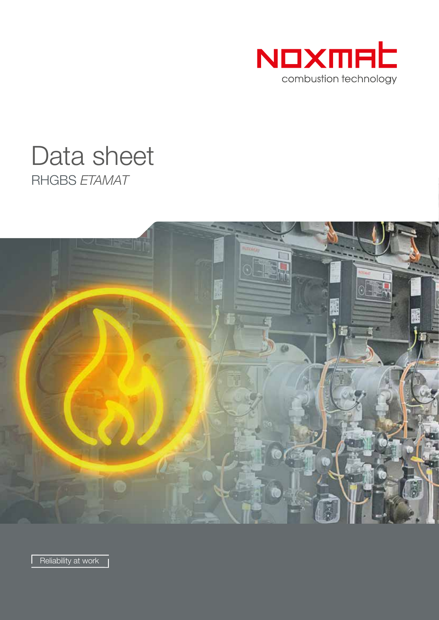

# RHGBS *ETAMAT* Data sheet



Reliability at work |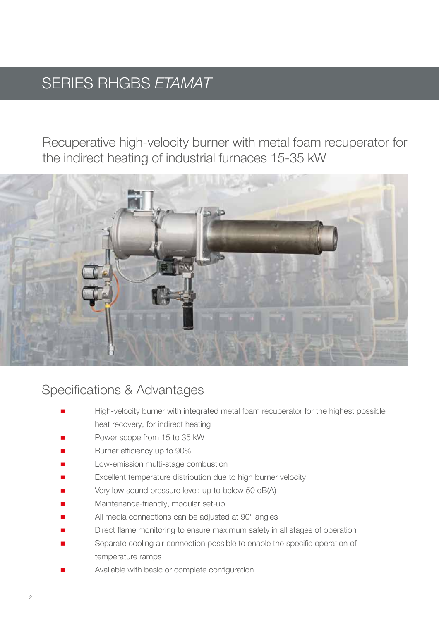## SERIES RHGBS *ETAMAT*

Recuperative high-velocity burner with metal foam recuperator for the indirect heating of industrial furnaces 15-35 kW



### Specifications & Advantages

- High-velocity burner with integrated metal foam recuperator for the highest possible heat recovery, for indirect heating
- Power scope from 15 to 35 kW
- Burner efficiency up to 90%
- Low-emission multi-stage combustion
- Excellent temperature distribution due to high burner velocity
- Very low sound pressure level: up to below 50 dB(A)
- Maintenance-friendly, modular set-up
- All media connections can be adjusted at 90° angles
- Direct flame monitoring to ensure maximum safety in all stages of operation
- Separate cooling air connection possible to enable the specific operation of temperature ramps
- Available with basic or complete configuration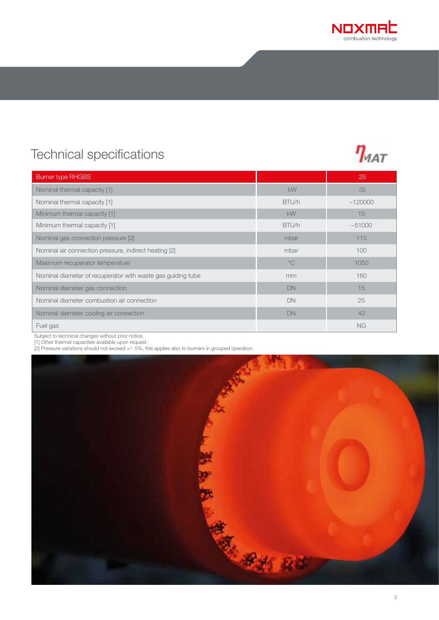

## Technical specifications



Subject to technical changes without prior notice. 

[1] Other thermal capacities available upon request. 

[2] Pressure variations should not exceed +/- 5%, this applies also to burners in grouped operation. 

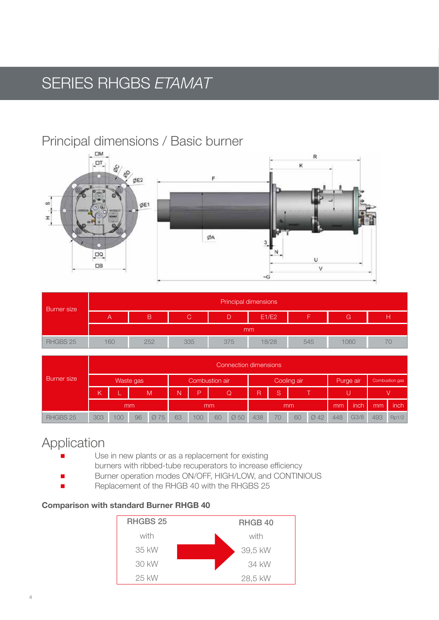## SERIES RHGBS *ETAMAT*

### Principal dimensions / Basic burner



| <b>Burner</b> size |     | Principal dimensions |     |     |       |     |      |  |  |  |  |  |  |  |
|--------------------|-----|----------------------|-----|-----|-------|-----|------|--|--|--|--|--|--|--|
|                    |     | в                    | С.  | D   | E1/E2 |     | G    |  |  |  |  |  |  |  |
|                    | mm  |                      |     |     |       |     |      |  |  |  |  |  |  |  |
| RHGBS 25           | 160 | 252                  | 335 | 375 | 18/28 | 545 | 1060 |  |  |  |  |  |  |  |

| <b>Burner</b> size |           | Connection dimensions |    |                |    |     |             |                  |     |    |           |                  |                |      |      |       |
|--------------------|-----------|-----------------------|----|----------------|----|-----|-------------|------------------|-----|----|-----------|------------------|----------------|------|------|-------|
|                    | Waste gas |                       |    | Combustion air |    |     | Cooling air |                  |     |    | Purge air |                  | Combustion gas |      |      |       |
|                    | K         |                       |    | M              | N  | D   |             | $\mathsf Q$      | R   | S  |           |                  |                |      |      |       |
|                    | mm        |                       |    |                | mm |     |             | mm               |     |    |           | mm               | inch           | mm   | inch |       |
| RHGBS 25           | 303       | 100                   | 96 | Ø 75           | 63 | 100 | 60          | $\varnothing$ 50 | 438 | 70 | 60        | $\varnothing$ 42 | 448            | G3/8 | 493  | Rp1/2 |

### Application

- Use in new plants or as a replacement for existing burners with ribbed-tube recuperators to increase efficiency
	- Burner operation modes ON/OFF, HIGH/LOW, and CONTINIOUS
- Replacement of the RHGB 40 with the RHGBS 25

#### Comparison with standard Burner RHGB 40

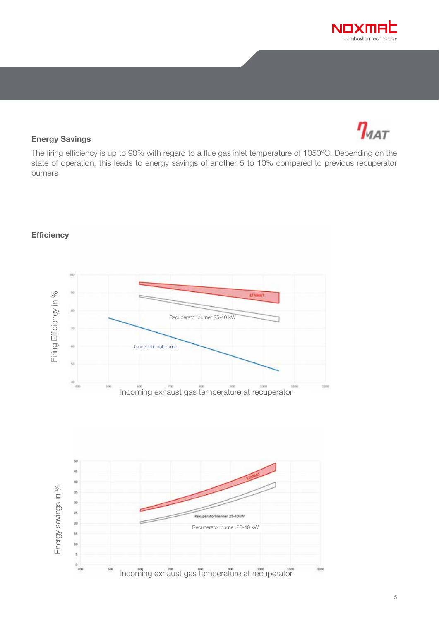



#### Energy Savings

The firing efficiency is up to 90% with regard to a flue gas inlet temperature of 1050°C. Depending on the state of operation, this leads to energy savings of another 5 to 10% compared to previous recuperator burners



#### **Efficiency**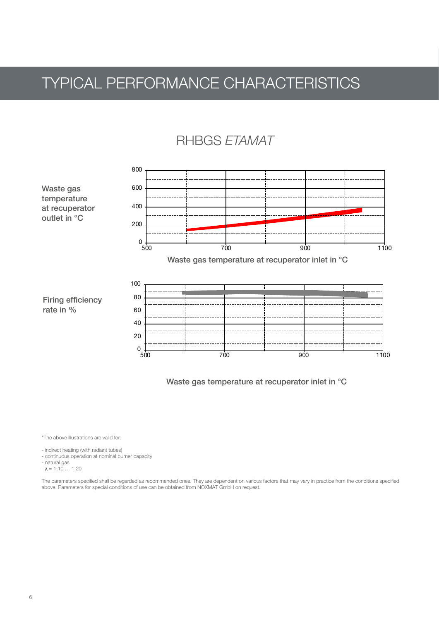## TYPICAL PERFORMANCE CHARACTERISTICS

#### $D$  IDOO  $T$  (  $11/2$ RHBGS *ETAMAT*



Waste gas temperature at recuperator inlet in °C

!"#\$%&'( "The above illustrations are valid for:

- indirect heating (with radiant tubes)

- continuous operation at nominal burner capacity and the state of the state of the state of the state of the state of the state of the state of the state of the state of the state of the state of the state of the state of

>?\$&2&242323"D2%13&E3&23"'4:218923"AF3323;"52\$62"GH\$"(I2J12KK2"#13('6J42%13&E3&23"2\$9'K623"<12">?3"%2\$  $-\lambda = 1,10 \ldots 1,20$ - natural gas

The parameters specified shall be regarded as recommended ones. They are dependent on various factors that may vary in practice from the conditions specified above. Parameters for special conditions of use can be obtained from NOXMAT GmbH on request.